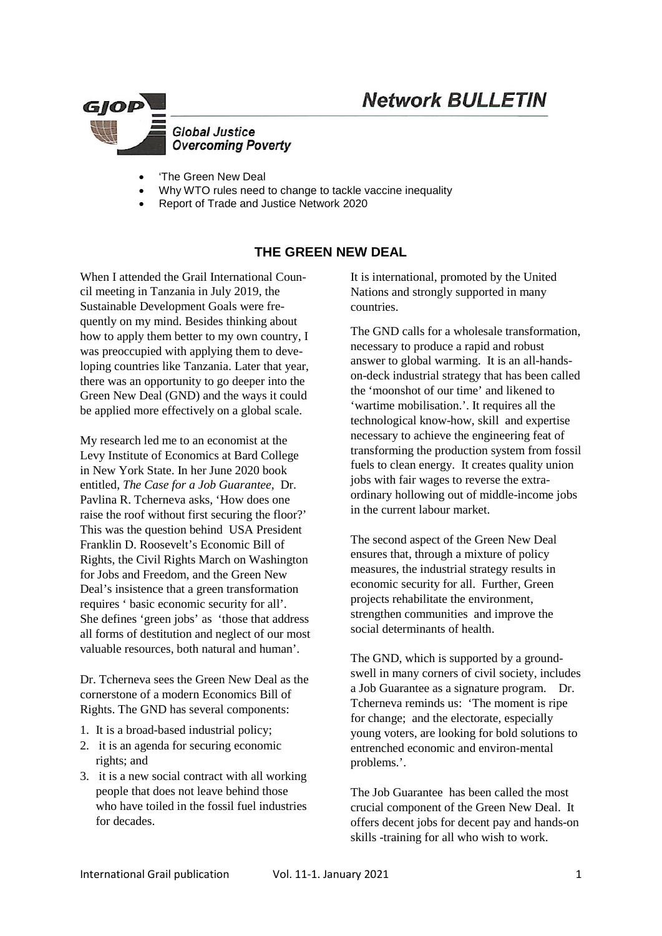# **Network BULLETIN**



- 'The Green New Deal
- Why WTO rules need to change to tackle vaccine inequality
- Report of Trade and Justice Network 2020

## **THE GREEN NEW DEAL**

When I attended the Grail International Council meeting in Tanzania in July 2019, the Sustainable Development Goals were frequently on my mind. Besides thinking about how to apply them better to my own country, I was preoccupied with applying them to developing countries like Tanzania. Later that year, there was an opportunity to go deeper into the Green New Deal (GND) and the ways it could be applied more effectively on a global scale.

My research led me to an economist at the Levy Institute of Economics at Bard College in New York State. In her June 2020 book entitled, *The Case for a Job Guarantee,* Dr. Pavlina R. Tcherneva asks, 'How does one raise the roof without first securing the floor?' This was the question behind USA President Franklin D. Roosevelt's Economic Bill of Rights, the Civil Rights March on Washington for Jobs and Freedom, and the Green New Deal's insistence that a green transformation requires ' basic economic security for all'. She defines 'green jobs' as 'those that address all forms of destitution and neglect of our most valuable resources, both natural and human'.

Dr. Tcherneva sees the Green New Deal as the cornerstone of a modern Economics Bill of Rights. The GND has several components:

- 1. It is a broad-based industrial policy;
- 2. it is an agenda for securing economic rights; and
- 3. it is a new social contract with all working people that does not leave behind those who have toiled in the fossil fuel industries for decades.

It is international, promoted by the United Nations and strongly supported in many countries.

The GND calls for a wholesale transformation, necessary to produce a rapid and robust answer to global warming. It is an all-handson-deck industrial strategy that has been called the 'moonshot of our time' and likened to 'wartime mobilisation.'. It requires all the technological know-how, skill and expertise necessary to achieve the engineering feat of transforming the production system from fossil fuels to clean energy. It creates quality union jobs with fair wages to reverse the extraordinary hollowing out of middle-income jobs in the current labour market.

The second aspect of the Green New Deal ensures that, through a mixture of policy measures, the industrial strategy results in economic security for all. Further, Green projects rehabilitate the environment, strengthen communities and improve the social determinants of health.

The GND, which is supported by a groundswell in many corners of civil society, includes a Job Guarantee as a signature program. Dr. Tcherneva reminds us: 'The moment is ripe for change; and the electorate, especially young voters, are looking for bold solutions to entrenched economic and environ-mental problems.'.

The Job Guarantee has been called the most crucial component of the Green New Deal. It offers decent jobs for decent pay and hands-on skills -training for all who wish to work.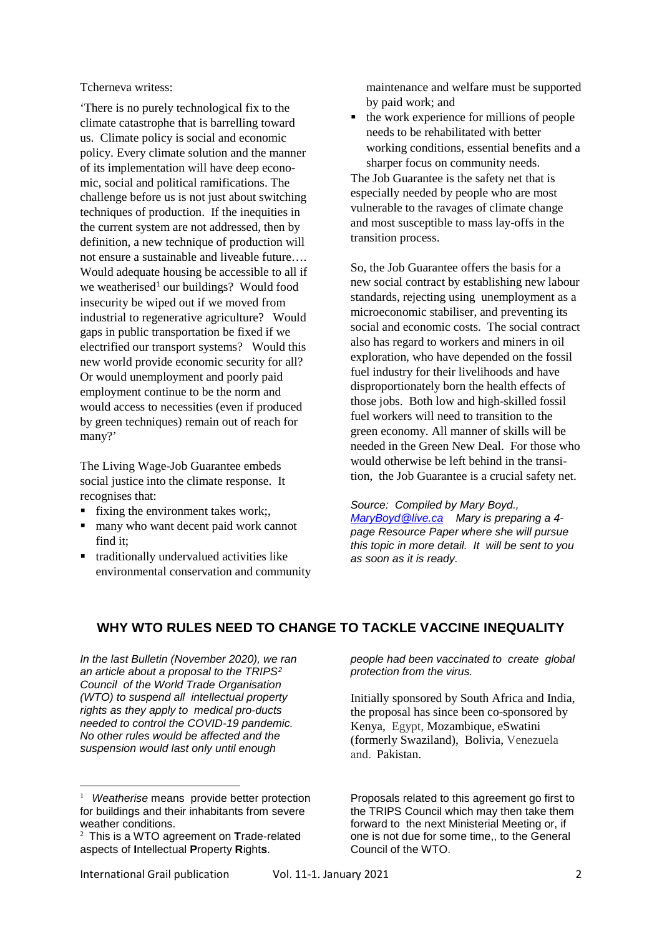Tcherneva writess:

'There is no purely technological fix to the climate catastrophe that is barrelling toward us. Climate policy is social and economic policy. Every climate solution and the manner of its implementation will have deep economic, social and political ramifications. The challenge before us is not just about switching techniques of production. If the inequities in the current system are not addressed, then by definition, a new technique of production will not ensure a sustainable and liveable future…. Would adequate housing be accessible to all if we weatherised<sup>[1](#page-1-0)</sup> our buildings? Would food insecurity be wiped out if we moved from industrial to regenerative agriculture? Would gaps in public transportation be fixed if we electrified our transport systems? Would this new world provide economic security for all? Or would unemployment and poorly paid employment continue to be the norm and would access to necessities (even if produced by green techniques) remain out of reach for many?'

The Living Wage-Job Guarantee embeds social justice into the climate response. It recognises that:

- $\blacksquare$  fixing the environment takes work;
- many who want decent paid work cannot find it;
- traditionally undervalued activities like environmental conservation and community

maintenance and welfare must be supported by paid work; and

 $\blacksquare$  the work experience for millions of people needs to be rehabilitated with better working conditions, essential benefits and a sharper focus on community needs.

The Job Guarantee is the safety net that is especially needed by people who are most vulnerable to the ravages of climate change and most susceptible to mass lay-offs in the transition process.

So, the Job Guarantee offers the basis for a new social contract by establishing new labour standards, rejecting using unemployment as a microeconomic stabiliser, and preventing its social and economic costs. The social contract also has regard to workers and miners in oil exploration, who have depended on the fossil fuel industry for their livelihoods and have disproportionately born the health effects of those jobs. Both low and high-skilled fossil fuel workers will need to transition to the green economy. All manner of skills will be needed in the Green New Deal. For those who would otherwise be left behind in the transition, the Job Guarantee is a crucial safety net.

*Source: Compiled by Mary Boyd., [MaryBoyd@live.ca](mailto:MaryBoyd@live.ca) Mary is preparing a 4 page Resource Paper where she will pursue this topic in more detail. It will be sent to you as soon as it is ready.*

## **WHY WTO RULES NEED TO CHANGE TO TACKLE VACCINE INEQUALITY**

*In the last Bulletin (November 2020), we ran an article about a proposal to the TRIPS[2](#page-1-1) Council of the World Trade Organisation (WTO) to suspend all intellectual property rights as they apply to medical pro-ducts needed to control the COVID-19 pandemic. No other rules would be affected and the suspension would last only until enough* 

International Grail publication Vol. 11-1. January 2021 2

<u>.</u>

*people had been vaccinated to create global protection from the virus.* 

Initially sponsored by South Africa and India, the proposal has since been co-sponsored by Kenya, Egypt, Mozambique, eSwatini (formerly Swaziland), Bolivia, Venezuela and.  Pakistan.

Proposals related to this agreement go first to the TRIPS Council which may then take them forward to the next Ministerial Meeting or, if one is not due for some time,, to the General Council of the WTO.

<span id="page-1-0"></span><sup>&</sup>lt;sup>1</sup> Weatherise means provide better protection for buildings and their inhabitants from severe weather conditions.

<span id="page-1-1"></span><sup>2</sup> This is a WTO agreement on **T**rade-related aspects of **I**ntellectual **P**roperty **R**ight**s**.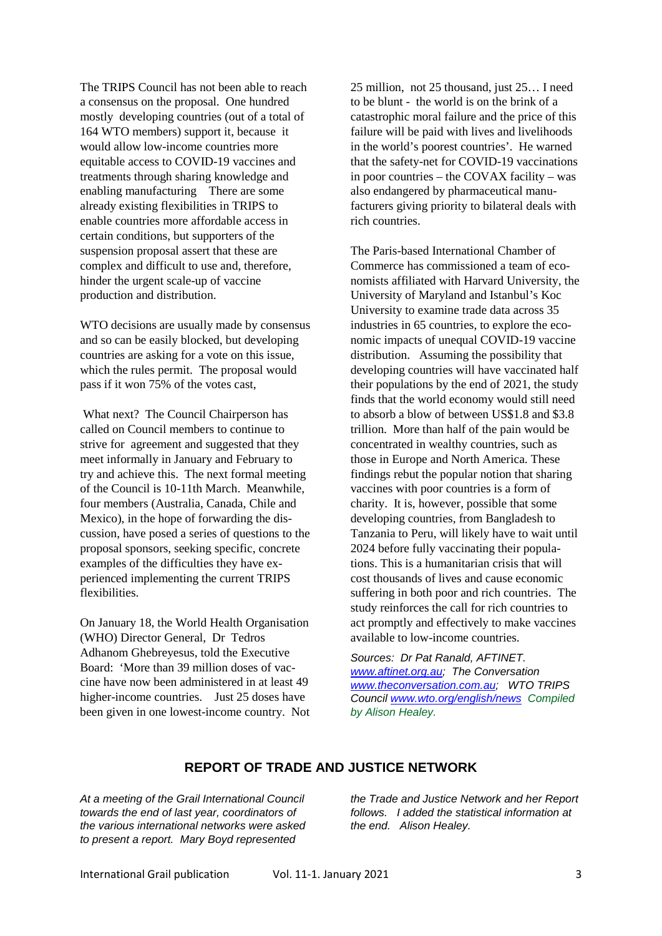The TRIPS Council has not been able to reach a consensus on the proposal. One hundred mostly developing countries (out of a total of 164 WTO members) support it, because it would allow low-income countries more equitable access to COVID-19 vaccines and treatments through sharing knowledge and enabling manufacturing There are some already existing flexibilities in TRIPS to enable countries more affordable access in certain conditions, but supporters of the suspension proposal assert that these are complex and difficult to use and, therefore, hinder the urgent scale-up of vaccine production and distribution.

WTO decisions are usually made by consensus and so can be easily blocked, but developing countries are asking for a vote on this issue, which the rules permit. The proposal would pass if it won 75% of the votes cast,

What next? The Council Chairperson has called on Council members to continue to strive for agreement and suggested that they meet informally in January and February to try and achieve this. The next formal meeting of the Council is 10-11th March. Meanwhile, four members (Australia, Canada, Chile and Mexico), in the hope of forwarding the discussion, have posed a series of questions to the proposal sponsors, seeking specific, concrete examples of the difficulties they have experienced implementing the current TRIPS flexibilities.

On January 18, the World Health Organisation (WHO) Director General, Dr Tedros Adhanom Ghebreyesus, told the Executive Board: 'More than 39 million doses of vaccine have now been administered in at least 49 higher-income countries. Just 25 doses have been given in one lowest-income country. Not

25 million, not 25 thousand, just 25… I need to be blunt - the world is on the brink of a catastrophic moral failure and the price of this failure will be paid with lives and livelihoods in the world's poorest countries'. He warned that the safety-net for COVID-19 vaccinations in poor countries – the COVAX facility – was also endangered by pharmaceutical manufacturers giving priority to bilateral deals with rich countries.

The Paris-based International Chamber of Commerce has commissioned a team of economists affiliated with Harvard University, the University of Maryland and Istanbul's Koc University to examine trade data across 35 industries in 65 countries, to explore the economic impacts of unequal COVID-19 vaccine distribution. Assuming the possibility that developing countries will have vaccinated half their populations by the end of 2021, the study finds that the world economy would still need to absorb a blow of between US\$1.8 and \$3.8 trillion. More than half of the pain would be concentrated in wealthy countries, such as those in Europe and North America. These findings rebut the popular notion that sharing vaccines with poor countries is a form of charity. It is, however, possible that some developing countries, from Bangladesh to Tanzania to Peru, will likely have to wait until 2024 before fully vaccinating their populations. This is a humanitarian crisis that will cost thousands of lives and cause economic suffering in both poor and rich countries. The study reinforces the call for rich countries to act promptly and effectively to make vaccines available to low-income countries.

*Sources: Dr Pat Ranald, AFTINET. [www.aftinet.org.au;](http://www.aftinet.org.au/) The Conversation [www.theconversation.com.au;](http://www.theconversation.com.au/) WTO TRIPS Council [www.wto.org/english/news](http://www.wto.org/english/news) Compiled by Alison Healey.*

#### **REPORT OF TRADE AND JUSTICE NETWORK**

*At a meeting of the Grail International Council towards the end of last year, coordinators of the various international networks were asked to present a report. Mary Boyd represented* 

*the Trade and Justice Network and her Report follows. I added the statistical information at the end. Alison Healey.*

International Grail publication Vol. 11-1. January 2021 3